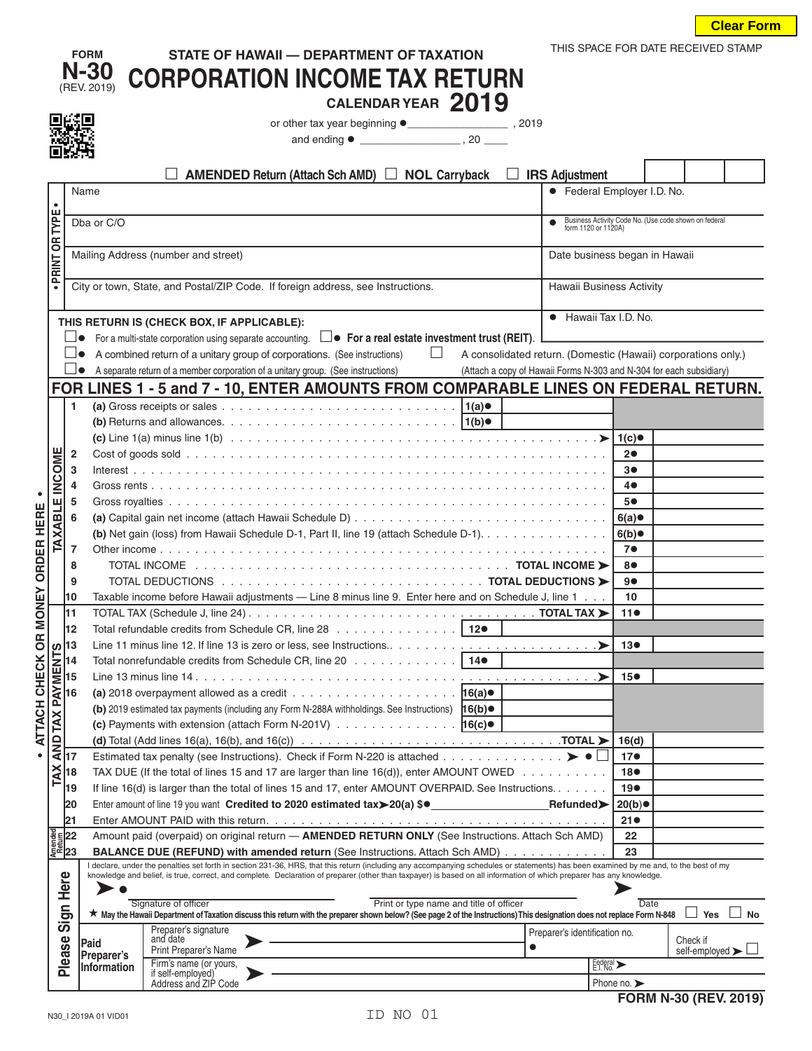|                               |                                                                                 | <b>FORM</b><br>N-30<br>(REV. 2019)                                                                                                                                  | STATE OF HAWAII - DEPARTMENT OF TAXATION<br><b>CORPORATION INCOME TAX RETURN</b><br>CALENDAR YEAR 2019                                                                                                                                                                                                                                                      |           | THIS SPACE FOR DATE RECEIVED STAMP                                  |                        |                          |                                                       |  |  |  |
|-------------------------------|---------------------------------------------------------------------------------|---------------------------------------------------------------------------------------------------------------------------------------------------------------------|-------------------------------------------------------------------------------------------------------------------------------------------------------------------------------------------------------------------------------------------------------------------------------------------------------------------------------------------------------------|-----------|---------------------------------------------------------------------|------------------------|--------------------------|-------------------------------------------------------|--|--|--|
|                               |                                                                                 |                                                                                                                                                                     |                                                                                                                                                                                                                                                                                                                                                             |           |                                                                     |                        |                          |                                                       |  |  |  |
|                               |                                                                                 |                                                                                                                                                                     |                                                                                                                                                                                                                                                                                                                                                             |           |                                                                     |                        |                          |                                                       |  |  |  |
|                               |                                                                                 |                                                                                                                                                                     |                                                                                                                                                                                                                                                                                                                                                             |           |                                                                     |                        |                          |                                                       |  |  |  |
|                               |                                                                                 |                                                                                                                                                                     |                                                                                                                                                                                                                                                                                                                                                             |           |                                                                     |                        |                          |                                                       |  |  |  |
|                               |                                                                                 |                                                                                                                                                                     | AMENDED Return (Attach Sch AMD) □ NOL Carryback                                                                                                                                                                                                                                                                                                             |           | <b>IRS Adjustment</b>                                               |                        |                          |                                                       |  |  |  |
|                               |                                                                                 | Name                                                                                                                                                                |                                                                                                                                                                                                                                                                                                                                                             |           | • Federal Employer I.D. No.                                         |                        |                          |                                                       |  |  |  |
| $\bullet$                     |                                                                                 |                                                                                                                                                                     |                                                                                                                                                                                                                                                                                                                                                             |           |                                                                     |                        |                          |                                                       |  |  |  |
|                               |                                                                                 | Dba or C/O                                                                                                                                                          |                                                                                                                                                                                                                                                                                                                                                             |           |                                                                     |                        |                          | Business Activity Code No. (Use code shown on federal |  |  |  |
|                               |                                                                                 |                                                                                                                                                                     | form 1120 or 1120A)                                                                                                                                                                                                                                                                                                                                         |           |                                                                     |                        |                          |                                                       |  |  |  |
|                               | Mailing Address (number and street)                                             |                                                                                                                                                                     |                                                                                                                                                                                                                                                                                                                                                             |           |                                                                     |                        |                          |                                                       |  |  |  |
| <b>PRINT OR TYPE</b>          |                                                                                 | Date business began in Hawaii                                                                                                                                       |                                                                                                                                                                                                                                                                                                                                                             |           |                                                                     |                        |                          |                                                       |  |  |  |
| $\bullet$                     |                                                                                 |                                                                                                                                                                     |                                                                                                                                                                                                                                                                                                                                                             |           |                                                                     |                        | Hawaii Business Activity |                                                       |  |  |  |
|                               | City or town, State, and Postal/ZIP Code. If foreign address, see Instructions. |                                                                                                                                                                     |                                                                                                                                                                                                                                                                                                                                                             |           |                                                                     |                        |                          |                                                       |  |  |  |
|                               |                                                                                 | • Hawaii Tax I.D. No.                                                                                                                                               |                                                                                                                                                                                                                                                                                                                                                             |           |                                                                     |                        |                          |                                                       |  |  |  |
|                               |                                                                                 | THIS RETURN IS (CHECK BOX, IF APPLICABLE):<br>For a multi-state corporation using separate accounting. $\square \bullet$ For a real estate investment trust (REIT). |                                                                                                                                                                                                                                                                                                                                                             |           |                                                                     |                        |                          |                                                       |  |  |  |
|                               | ⊔∙                                                                              |                                                                                                                                                                     |                                                                                                                                                                                                                                                                                                                                                             |           |                                                                     |                        |                          |                                                       |  |  |  |
|                               | ▏▁▏●                                                                            |                                                                                                                                                                     | A combined return of a unitary group of corporations. (See instructions)<br>$\Box$                                                                                                                                                                                                                                                                          |           | A consolidated return. (Domestic (Hawaii) corporations only.)       |                        |                          |                                                       |  |  |  |
|                               | $\Box\bullet$                                                                   |                                                                                                                                                                     | A separate return of a member corporation of a unitary group. (See instructions)                                                                                                                                                                                                                                                                            |           | (Attach a copy of Hawaii Forms N-303 and N-304 for each subsidiary) |                        |                          |                                                       |  |  |  |
|                               |                                                                                 |                                                                                                                                                                     | FOR LINES 1 - 5 and 7 - 10, ENTER AMOUNTS FROM COMPARABLE LINES ON FEDERAL RETURN.                                                                                                                                                                                                                                                                          |           |                                                                     |                        |                          |                                                       |  |  |  |
|                               | 1                                                                               |                                                                                                                                                                     | (a) Gross receipts or sales $\ldots \ldots \ldots \ldots \ldots \ldots \ldots \ldots \ldots \ldots \ldots$                                                                                                                                                                                                                                                  |           |                                                                     |                        |                          |                                                       |  |  |  |
|                               |                                                                                 |                                                                                                                                                                     |                                                                                                                                                                                                                                                                                                                                                             |           |                                                                     |                        |                          |                                                       |  |  |  |
|                               |                                                                                 |                                                                                                                                                                     |                                                                                                                                                                                                                                                                                                                                                             |           |                                                                     |                        |                          |                                                       |  |  |  |
|                               | $\overline{2}$                                                                  |                                                                                                                                                                     |                                                                                                                                                                                                                                                                                                                                                             |           |                                                                     | 20                     |                          |                                                       |  |  |  |
|                               | 3                                                                               |                                                                                                                                                                     |                                                                                                                                                                                                                                                                                                                                                             |           |                                                                     | 3●                     |                          |                                                       |  |  |  |
|                               | 4                                                                               |                                                                                                                                                                     |                                                                                                                                                                                                                                                                                                                                                             |           |                                                                     | $4\bullet$             |                          |                                                       |  |  |  |
| <b>TAXABLE INCOME</b>         | 5                                                                               |                                                                                                                                                                     |                                                                                                                                                                                                                                                                                                                                                             |           |                                                                     | 5●                     |                          |                                                       |  |  |  |
|                               | 6                                                                               |                                                                                                                                                                     |                                                                                                                                                                                                                                                                                                                                                             |           |                                                                     | 6(a)                   |                          |                                                       |  |  |  |
|                               |                                                                                 |                                                                                                                                                                     | (b) Net gain (loss) from Hawaii Schedule D-1, Part II, line 19 (attach Schedule D-1). 6(b)                                                                                                                                                                                                                                                                  |           |                                                                     |                        |                          |                                                       |  |  |  |
|                               | $\overline{7}$                                                                  |                                                                                                                                                                     |                                                                                                                                                                                                                                                                                                                                                             |           |                                                                     | 7 <sup>o</sup>         |                          |                                                       |  |  |  |
|                               | 8                                                                               |                                                                                                                                                                     |                                                                                                                                                                                                                                                                                                                                                             |           |                                                                     | 8●                     |                          |                                                       |  |  |  |
|                               | 9                                                                               |                                                                                                                                                                     |                                                                                                                                                                                                                                                                                                                                                             |           |                                                                     | 9●                     |                          |                                                       |  |  |  |
|                               | 10                                                                              |                                                                                                                                                                     | Taxable income before Hawaii adjustments - Line 8 minus line 9. Enter here and on Schedule J, line 1                                                                                                                                                                                                                                                        |           |                                                                     | 10                     |                          |                                                       |  |  |  |
|                               | 11                                                                              |                                                                                                                                                                     | TOTAL TAX (Schedule J, line 24) $\dots \dots \dots \dots \dots \dots \dots \dots \dots \dots \dots \dots \dots \dots \dots \dots \dots$                                                                                                                                                                                                                     |           |                                                                     | 110                    |                          |                                                       |  |  |  |
|                               | 12                                                                              |                                                                                                                                                                     | Total refundable credits from Schedule CR, line 28 12.                                                                                                                                                                                                                                                                                                      |           |                                                                     |                        |                          |                                                       |  |  |  |
|                               |                                                                                 |                                                                                                                                                                     | Line 11 minus line 12. If line 13 is zero or less, see Instructions                                                                                                                                                                                                                                                                                         |           |                                                                     | 13●                    |                          |                                                       |  |  |  |
|                               |                                                                                 |                                                                                                                                                                     | Total nonrefundable credits from Schedule CR, line 20 14.                                                                                                                                                                                                                                                                                                   |           |                                                                     |                        |                          |                                                       |  |  |  |
|                               |                                                                                 |                                                                                                                                                                     |                                                                                                                                                                                                                                                                                                                                                             |           |                                                                     | 15 <sup>o</sup>        |                          |                                                       |  |  |  |
|                               |                                                                                 |                                                                                                                                                                     | (a) 2018 overpayment allowed as a credit $\ldots \ldots \ldots \ldots \ldots \ldots \ldots$ . $16(a)$                                                                                                                                                                                                                                                       |           |                                                                     |                        |                          |                                                       |  |  |  |
|                               |                                                                                 |                                                                                                                                                                     | (b) 2019 estimated tax payments (including any Form N-288A withholdings. See Instructions) 16(b) .                                                                                                                                                                                                                                                          |           |                                                                     |                        |                          |                                                       |  |  |  |
|                               |                                                                                 |                                                                                                                                                                     |                                                                                                                                                                                                                                                                                                                                                             |           |                                                                     |                        |                          |                                                       |  |  |  |
|                               |                                                                                 |                                                                                                                                                                     |                                                                                                                                                                                                                                                                                                                                                             |           |                                                                     | 16(d)                  |                          |                                                       |  |  |  |
|                               |                                                                                 |                                                                                                                                                                     | Estimated tax penalty (see Instructions). Check if Form N-220 is attached $\blacktriangleright\bullet\Box$                                                                                                                                                                                                                                                  |           |                                                                     | 17 <sub>•</sub>        |                          |                                                       |  |  |  |
|                               |                                                                                 |                                                                                                                                                                     | TAX DUE (If the total of lines 15 and 17 are larger than line 16(d)), enter AMOUNT OWED $\dots \dots \dots$                                                                                                                                                                                                                                                 |           |                                                                     | 18●<br>19 <sup>o</sup> |                          |                                                       |  |  |  |
|                               | 19                                                                              | If line 16(d) is larger than the total of lines 15 and 17, enter AMOUNT OVERPAID. See Instructions.                                                                 |                                                                                                                                                                                                                                                                                                                                                             |           |                                                                     |                        |                          |                                                       |  |  |  |
|                               | 20                                                                              |                                                                                                                                                                     |                                                                                                                                                                                                                                                                                                                                                             |           |                                                                     | 20(b)                  |                          |                                                       |  |  |  |
|                               | 21                                                                              |                                                                                                                                                                     |                                                                                                                                                                                                                                                                                                                                                             |           |                                                                     | 21                     |                          |                                                       |  |  |  |
| Amended<br>Return<br>23<br>23 |                                                                                 |                                                                                                                                                                     | Amount paid (overpaid) on original return - AMENDED RETURN ONLY (See Instructions. Attach Sch AMD)                                                                                                                                                                                                                                                          |           |                                                                     | 22                     |                          |                                                       |  |  |  |
|                               |                                                                                 |                                                                                                                                                                     | <b>BALANCE DUE (REFUND) with amended return (See Instructions. Attach Sch AMD)</b> .                                                                                                                                                                                                                                                                        |           |                                                                     | 23                     |                          |                                                       |  |  |  |
|                               |                                                                                 |                                                                                                                                                                     | declare, under the penalties set forth in section 231-36, HRS, that this return (including any accompanying schedules or statements) has been examined by me and, to the best of my<br>knowledge and belief, is true, correct, and complete. Declaration of preparer (other than taxpayer) is based on all information of which preparer has any knowledge. |           |                                                                     |                        |                          |                                                       |  |  |  |
|                               | Here                                                                            |                                                                                                                                                                     |                                                                                                                                                                                                                                                                                                                                                             |           |                                                                     |                        |                          |                                                       |  |  |  |
|                               |                                                                                 | Signature of officer                                                                                                                                                | Date                                                                                                                                                                                                                                                                                                                                                        |           |                                                                     |                        |                          |                                                       |  |  |  |
|                               | Sign                                                                            |                                                                                                                                                                     | ★ May the Hawaii Department of Taxation discuss this return with the preparer shown below? (See page 2 of the Instructions) This designation does not replace Form N-848 □ Yes □ No<br>Preparer's signature                                                                                                                                                 |           |                                                                     |                        |                          |                                                       |  |  |  |
|                               |                                                                                 | Paid                                                                                                                                                                | and date                                                                                                                                                                                                                                                                                                                                                    | $\bullet$ | Preparer's identification no.                                       |                        |                          | Check if                                              |  |  |  |
|                               | Please                                                                          | <b>Preparer's</b>                                                                                                                                                   | Print Preparer's Name                                                                                                                                                                                                                                                                                                                                       |           |                                                                     |                        |                          | self-employed $\blacktriangleright$ $\Box$            |  |  |  |
|                               |                                                                                 | Information                                                                                                                                                         | Firm's name (or yours,<br>if self-employed)                                                                                                                                                                                                                                                                                                                 |           | Eederal >                                                           |                        |                          |                                                       |  |  |  |
|                               |                                                                                 |                                                                                                                                                                     | Address and ZIP Code                                                                                                                                                                                                                                                                                                                                        |           |                                                                     | Phone no.              |                          |                                                       |  |  |  |
|                               |                                                                                 |                                                                                                                                                                     |                                                                                                                                                                                                                                                                                                                                                             |           |                                                                     | FORM N-30 (REV. 2019)  |                          |                                                       |  |  |  |

**• ATTACH CHECK OR MONEY ORDER HERE •**